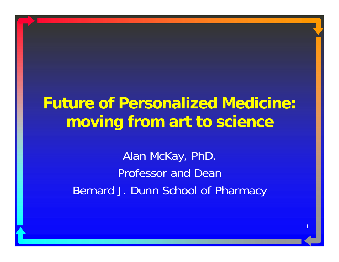#### **Future of Personalized Medicine: moving from art to science**

Alan McKay, PhD. Professor and DeanBernard J. Dunn School of Pharmacy

1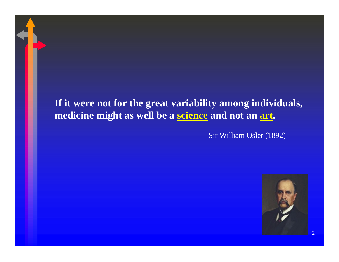#### **If it were not for the great variability among individuals, medicine might as well be a science and not an art.**

Sir William Osler (1892)



 $\overline{2}$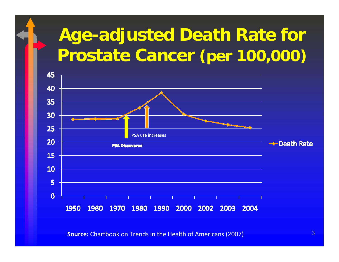## **Age-adjusted Death Rate for Prostate Cancer (per 100,000)**



**Source:** Chartbook on Trends in the Health of Americans (2007)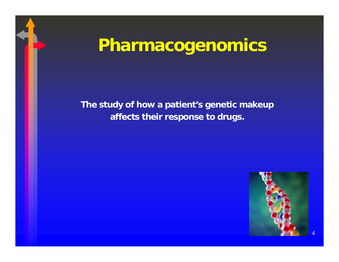## **Pharmacogenomics**

#### **The study of how a patient's genetic makeup affects their response to drugs.**

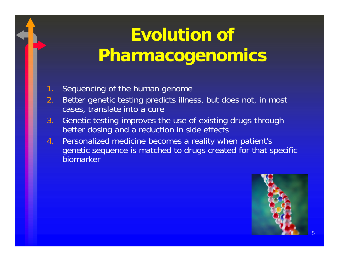## **Evolution of Pharmacogenomics**

- 1. Sequencing of the human genome
- 2. Better genetic testing predicts illness, but does not, in most cases, translate into a cure
- 3. Genetic testing improves the use of existing drugs through better dosing and a reduction in side effects
- 4. Personalized medicine becomes a reality when patient's genetic sequence is matched to drugs created for that specific biomarker

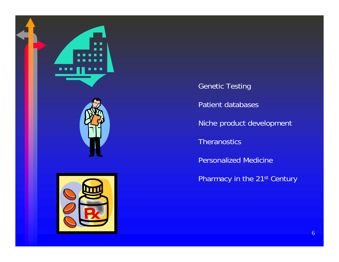

Genetic Testing

Patient databases

Niche product development

Theranostics

Personalized Medicine

Pharmacy in the 21<sup>st</sup> Century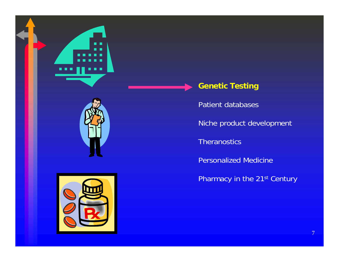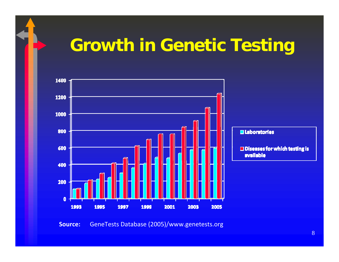### **Growth in Genetic Testing**



**Source:** GeneTests Database (2005)/www.genetests.org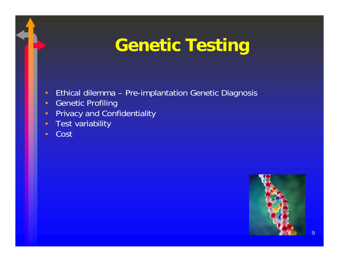## **Genetic Testing**

- Ethical dilemma Pre-implantation Genetic Diagnosis
- •Genetic Profiling
- $\bullet$ Privacy and Confidentiality
- •Test variability
- •Cost

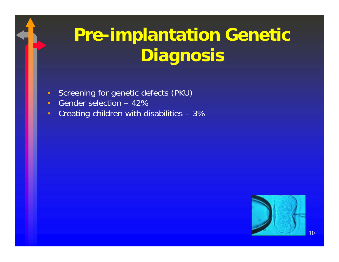# **Pre-implantation Genetic Diagnosis**

- Screening for genetic defects (PKU)
- •Gender selection – 42%
- •Creating children with disabilities – 3%

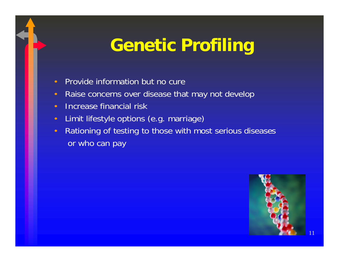## **Genetic Profiling**

- •Provide information but no cure
- •Raise concerns over disease that may not develop
- •Increase financial risk
- Limit lifestyle options (e.g. marriage)
- Rationing of testing to those with most serious diseases or who can pay

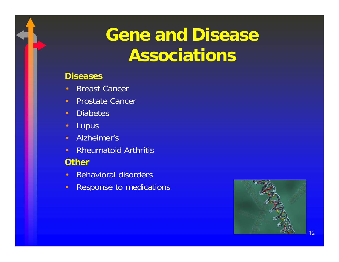## **Gene and Disease Associations**

#### **Diseases**

- •Breast Cancer
- •Prostate Cancer
- Diabetes
- **Lupus**
- Alzheimer's
- Rheumatoid Arthritis

#### **Other**

- Behavioral disorders
- $\bullet$ Response to medications

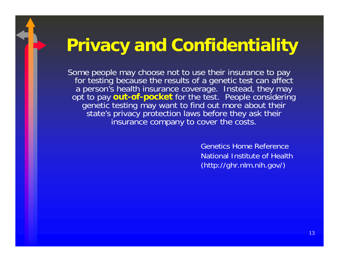### **Privacy and Confidentiality**

Some people may choose not to use their insurance to pay for testing because the results of a genetic test can affect a person's health insurance coverage. Instead, they may opt to pay **out-of-pocket** for the test. People considering genetic testing may want to find out more about their state's privacy protection laws before they ask their insurance company to cover the costs.

> Genetics Home ReferenceNational Institute of Health(http://ghr.nlm.nih.gov/)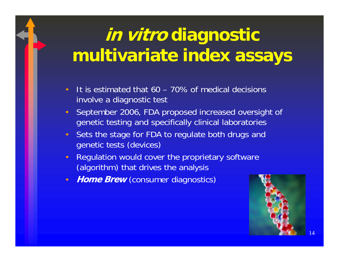## **in vitro diagnostic multivariate index assays**

- • It is estimated that 60 – 70% of medical decisions involve a diagnostic test
- September 2006, FDA proposed increased oversight of genetic testing and specifically clinical laboratories
- Sets the stage for FDA to regulate both drugs and genetic tests (devices)
- • Regulation would cover the proprietary software (algorithm) that drives the analysis
- •**Home Brew** (consumer diagnostics)

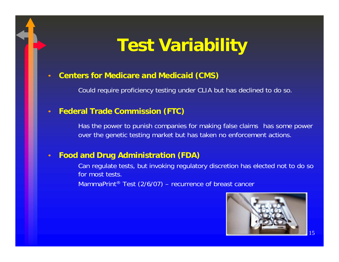### **Test Variability**

#### **Centers for Medicare and Medicaid (CMS)**

Could require proficiency testing under CLIA but has declined to do so.

#### **Federal Trade Commission (FTC)**

Has the power to punish companies for making false claims has some power over the genetic testing market but has taken no enforcement actions.

#### $\epsilon$ **Food and Drug Administration (FDA)**

Can regulate tests, but invoking regulatory discretion has elected not to do so for most tests.

MammaPrint ® Test (2/6/07) – recurrence of breast cancer

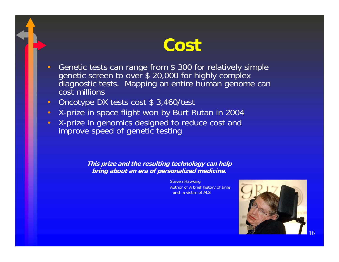#### **Cost**

- • Genetic tests can range from \$ 300 for relatively simple genetic screen to over \$ 20,000 for highly complex diagnostic tests. Mapping an entire human genome can cost millions
- Oncotype DX tests cost \$ 3,460/test
- X-prize in space flight won by Burt Rutan in 2004
- X-prize in genomics designed to reduce cost and improve speed of genetic testing

**This prize and the resulting technology can help bring about an era of personalized medicine.**

> Steven Hawking Author of A brief history of time and a victim of ALS

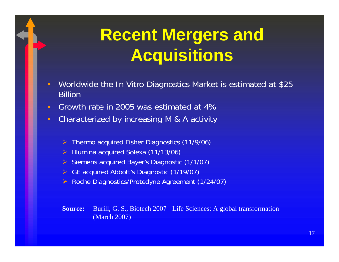## **Recent Mergers and Acquisitions**

- Worldwide the In Vitro Diagnostics Market is estimated at \$25 Billion
- Growth rate in 2005 was estimated at 4%
- Characterized by increasing M & A activity
	- ¾Thermo acquired Fisher Diagnostics (11/9/06)
	- ¾Illumina acquired Solexa (11/13/06)
	- ¾ Siemens acquired Bayer's Diagnostic (1/1/07)
	- ¾ GE acquired Abbott's Diagnostic (1/19/07)
	- ¾Roche Diagnostics/Protedyne Agreement (1/24/07)

**Source:** Burill, G. S., Biotech 2007 - Life Sciences: A global transformation (March 2007)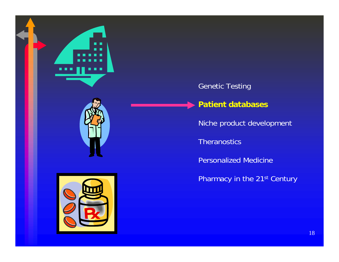



#### Genetic Testing

#### **Patient databases**

Niche product development

Theranostics

Personalized Medicine

Pharmacy in the 21<sup>st</sup> Century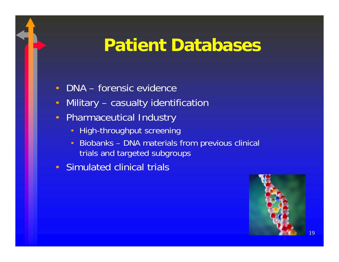### **Patient Databases**

- •DNA – forensic evidence
- •Military – casualty identification
- $\bullet$  Pharmaceutical Industry
	- High-throughput screening
	- Biobanks DNA materials from previous clinical trials and targeted subgroups
- •Simulated clinical trials

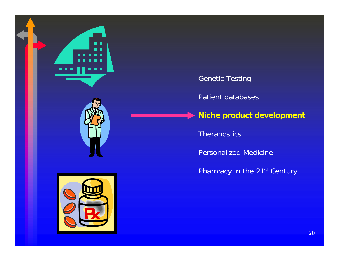

Genetic Testing Patient databases **Niche product development**

Theranostics

Personalized Medicine

Pharmacy in the 21<sup>st</sup> Century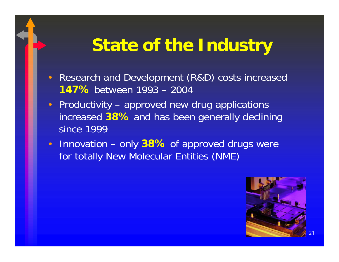### **State of the Industry**

- Research and Development (R&D) costs increased **147%** between 1993 – 2004
- Productivity approved new drug applications increased **38%** and has been generally declining since 1999
- Innovation only 38% of approved drugs were for totally New Molecular Entities (NME)

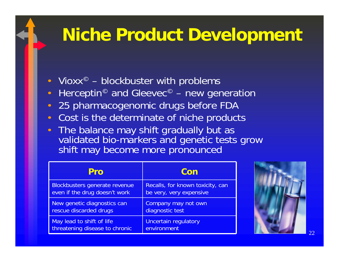### **Niche Product Development**

- Vioxx  $\circ$ blockbuster with problems
- $\bullet$ • Herceptin<sup>©</sup> and Gleevec  $\circledcirc$ new generation
- $\bullet$ 25 pharmacogenomic drugs before FDA
- •Cost is the determinate of niche products
- $\blacksquare$ The balance may shift gradually but as validated bio-markers and genetic tests grow shift may become more pronounced

| Pro                            | Con                              |
|--------------------------------|----------------------------------|
| Blockbusters generate revenue  | Recalls, for known toxicity, can |
| even if the drug doesn't work  | be very, very expensive          |
| New genetic diagnostics can    | Company may not own              |
| rescue discarded drugs         | diagnostic test                  |
| May lead to shift of life      | <b>Uncertain regulatory</b>      |
| threatening disease to chronic | environment                      |

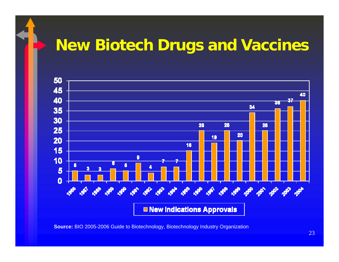#### **New Biotech Drugs and Vaccines**



**Source:** BIO 2005-2006 Guide to Biotechnology, Biotechnology Industry Organization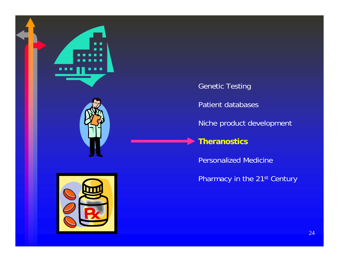

Genetic Testing

Patient databases

Niche product development

#### **Theranostics**

Personalized Medicine

Pharmacy in the 21<sup>st</sup> Century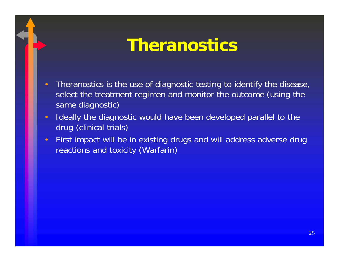#### **Theranostics**

- • Theranostics is the use of diagnostic testing to identify the disease, select the treatment regimen and monitor the outcome (using the same diagnostic)
- $\bullet$  Ideally the diagnostic would have been developed parallel to the drug (clinical trials)
- First impact will be in existing drugs and will address adverse drug reactions and toxicity (Warfarin)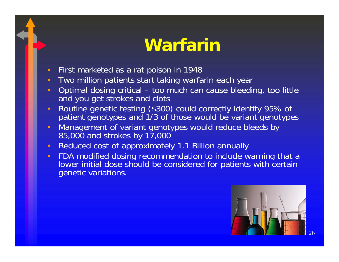### **Warfarin**

- •First marketed as a rat poison in 1948
- Two million patients start taking warfarin each year
- •• Optimal dosing critical – too much can cause bleeding, too little and you get strokes and clots
- Routine genetic testing (\$300) could correctly identify 95% of patient genotypes and 1/3 of those would be variant genotypes
- Management of variant genotypes would reduce bleeds by 85,000 and strokes by 17,000
- Reduced cost of approximately 1.1 Billion annually
- FDA modified dosing recommendation to include warning that a lower initial dose should be considered for patients with certain genetic variations.

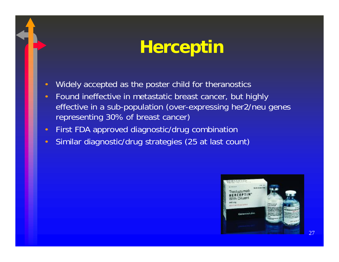## **Herceptin**

- •Widely accepted as the poster child for theranostics
- • Found ineffective in metastatic breast cancer, but highly effective in a sub-population (over-expressing her2/neu genes representing 30% of breast cancer)
- First FDA approved diagnostic/drug combination
- •Similar diagnostic/drug strategies (25 at last count)

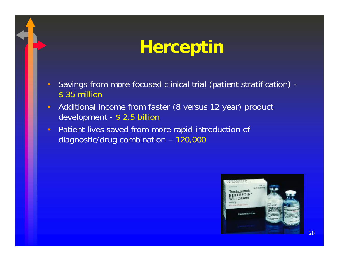## **Herceptin**

- Savings from more focused clinical trial (patient stratification) \$ 35 million
- Additional income from faster (8 versus 12 year) product development - \$ 2.5 billion
- Patient lives saved from more rapid introduction of diagnostic/drug combination – 120,000

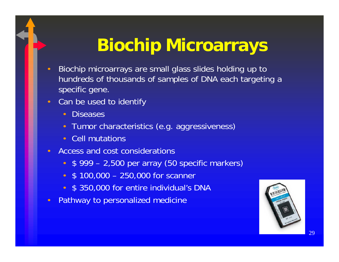## **Biochip Microarrays**

- Biochip microarrays are small glass slides holding up to hundreds of thousands of samples of DNA each targeting a specific gene.
- Can be used to identify
	- •**Diseases**
	- Tumor characteristics (e.g. aggressiveness)
	- Cell mutations
- • Access and cost considerations
	- •\$ 999 – 2,500 per array (50 specific markers)
	- \$ 100,000 250,000 for scanner
	- \$ 350,000 for entire individual's DNA
- $\bullet$ Pathway to personalized medicine

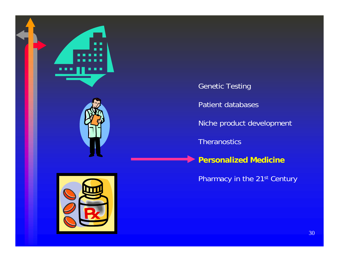

Genetic Testing

Patient databases

Niche product development

Theranostics

**Personalized Medicine**

Pharmacy in the 21<sup>st</sup> Century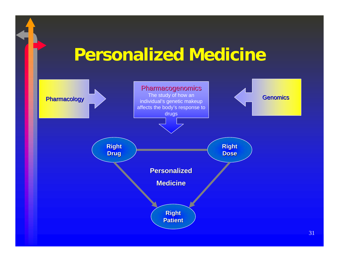### **Personalized Medicine**

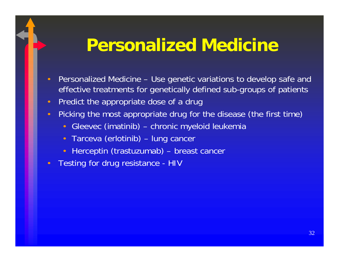### **Personalized Medicine**

- Personalized Medicine Use genetic variations to develop safe and effective treatments for genetically defined sub-groups of patients
- Predict the appropriate dose of a drug
- Picking the most appropriate drug for the disease (the first time)
	- •Gleevec (imatinib) – chronic myeloid leukemia
	- Tarceva (erlotinib) lung cancer
	- Herceptin (trastuzumab) breast cancer
- •Testing for drug resistance - HIV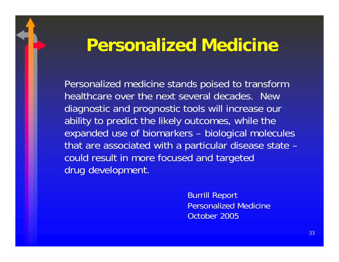#### **Personalized Medicine**

Personalized medicine stands poised to transform healthcare over the next several decades. New diagnostic and prognostic tools will increase our ability to predict the likely outcomes, while the expanded use of biomarkers – biological molecules that are associated with a particular disease state – could result in more focused and targeted drug development.

> Burrill Report Personalized Medicine October 2005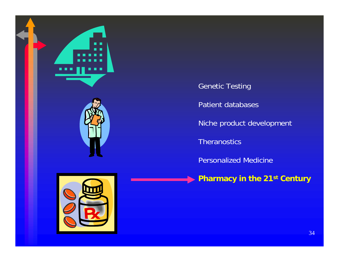



Genetic Testing

Patient databases

Niche product development

Theranostics

Personalized Medicine

**Pharmacy in the 21st Century**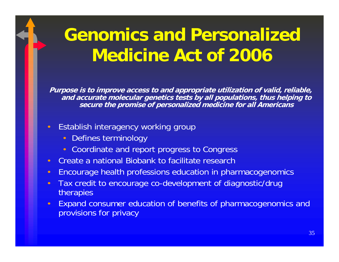## **Genomics and Personalized Medicine Act of 2006**

**Purpose is to improve access to and appropriate utilization of valid, reliable, and accurate molecular genetics tests by all populations, thus helping to secure the promise of personalized medicine for all Americans**

- Establish interagency working group
	- •Defines terminology
	- Coordinate and report progress to Congress
- Create a national Biobank to facilitate research
- •Encourage health professions education in pharmacogenomics
- $\bullet$  Tax credit to encourage co-development of diagnostic/drug therapies
- • Expand consumer education of benefits of pharmacogenomics and provisions for privacy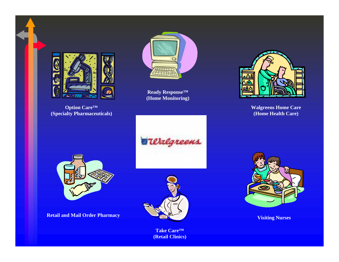

**Option Care™ (Specialty Pharmaceuticals)**



**Ready Response™ (Home Monitoring)**



**Walgreens Home Care (Home Health Care)**

**Terlgreens** 



**Retail and Mail Order Pharmacy**



**Take Care™ (Retail Clinics)**



**Visiting Nurses**